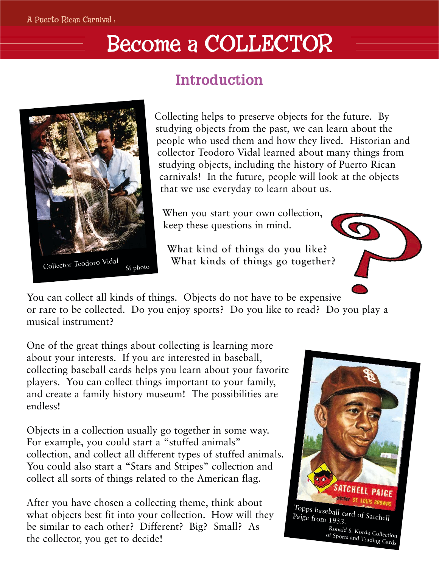## Become a COLLECTOR





Collecting helps to preserve objects for the future. By studying objects from the past, we can learn about the people who used them and how they lived. Historian and collector Teodoro Vidal learned about many things from studying objects, including the history of Puerto Rican carnivals! In the future, people will look at the objects that we use everyday to learn about us.

When you start your own collection, keep these questions in mind.

What kind of things do you like? What kinds of things go together?

You can collect all kinds of things. Objects do not have to be expensive or rare to be collected. Do you enjoy sports? Do you like to read? Do you play a musical instrument?

One of the great things about collecting is learning more about your interests. If you are interested in baseball, collecting baseball cards helps you learn about your favorite players. You can collect things important to your family, and create a family history museum! The possibilities are endless!

Objects in a collection usually go together in some way. For example, you could start a "stuffed animals" collection, and collect all different types of stuffed animals. You could also start a "Stars and Stripes" collection and collect all sorts of things related to the American flag.

After you have chosen a collecting theme, think about what objects best fit into your collection. How will they be similar to each other? Different? Big? Small? As the collector, you get to decide!